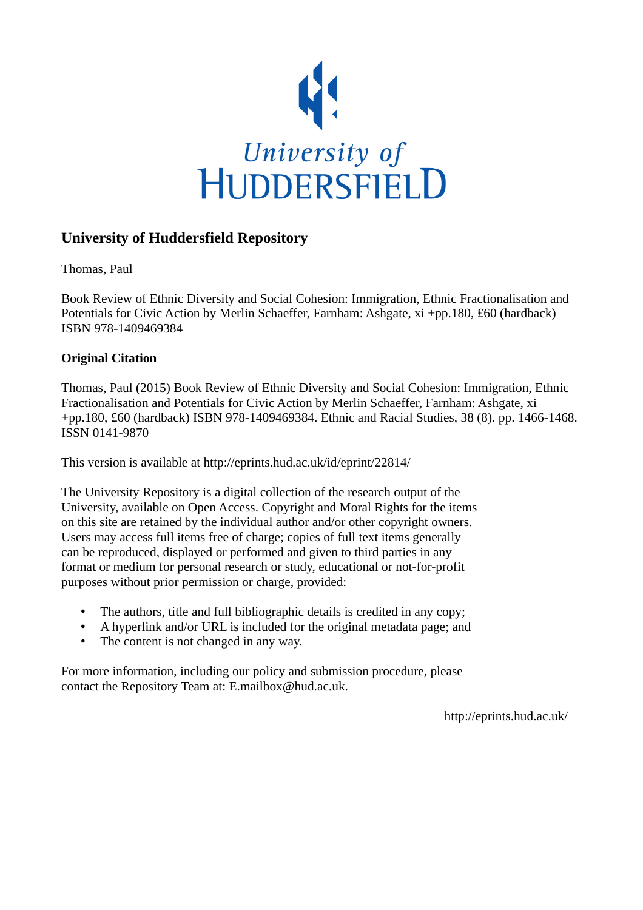

## **University of Huddersfield Repository**

Thomas, Paul

Book Review of Ethnic Diversity and Social Cohesion: Immigration, Ethnic Fractionalisation and Potentials for Civic Action by Merlin Schaeffer, Farnham: Ashgate, xi +pp.180, £60 (hardback) ISBN 978-1409469384

## **Original Citation**

Thomas, Paul (2015) Book Review of Ethnic Diversity and Social Cohesion: Immigration, Ethnic Fractionalisation and Potentials for Civic Action by Merlin Schaeffer, Farnham: Ashgate, xi +pp.180, £60 (hardback) ISBN 978-1409469384. Ethnic and Racial Studies, 38 (8). pp. 1466-1468. ISSN 0141-9870

This version is available at http://eprints.hud.ac.uk/id/eprint/22814/

The University Repository is a digital collection of the research output of the University, available on Open Access. Copyright and Moral Rights for the items on this site are retained by the individual author and/or other copyright owners. Users may access full items free of charge; copies of full text items generally can be reproduced, displayed or performed and given to third parties in any format or medium for personal research or study, educational or not-for-profit purposes without prior permission or charge, provided:

- The authors, title and full bibliographic details is credited in any copy;
- A hyperlink and/or URL is included for the original metadata page; and
- The content is not changed in any way.

For more information, including our policy and submission procedure, please contact the Repository Team at: E.mailbox@hud.ac.uk.

http://eprints.hud.ac.uk/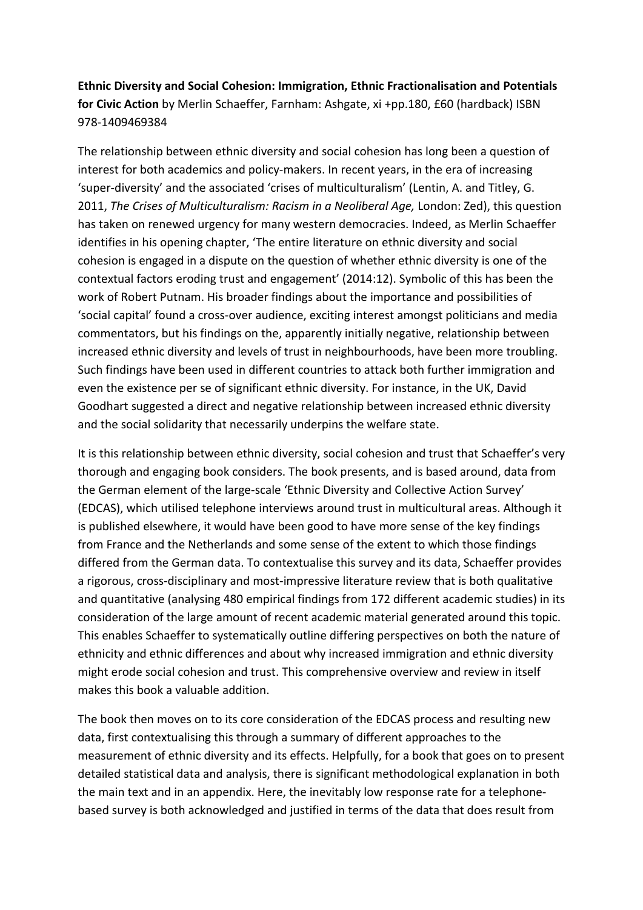**Ethnic Diversity and Social Cohesion: Immigration, Ethnic Fractionalisation and Potentials for Civic Action** by Merlin Schaeffer, Farnham: Ashgate, xi +pp.180, £60 (hardback) ISBN 978-1409469384

The relationship between ethnic diversity and social cohesion has long been a question of interest for both academics and policy-makers. In recent years, in the era of increasing 'super-diversity' and the associated 'crises of multiculturalism' (Lentin, A. and Titley, G. 2011, *The Crises of Multiculturalism: Racism in a Neoliberal Age,* London: Zed), this question has taken on renewed urgency for many western democracies. Indeed, as Merlin Schaeffer identifies in his opening chapter, 'The entire literature on ethnic diversity and social cohesion is engaged in a dispute on the question of whether ethnic diversity is one of the contextual factors eroding trust and engagement' (2014:12). Symbolic of this has been the work of Robert Putnam. His broader findings about the importance and possibilities of 'social capital' found a cross-over audience, exciting interest amongst politicians and media commentators, but his findings on the, apparently initially negative, relationship between increased ethnic diversity and levels of trust in neighbourhoods, have been more troubling. Such findings have been used in different countries to attack both further immigration and even the existence per se of significant ethnic diversity. For instance, in the UK, David Goodhart suggested a direct and negative relationship between increased ethnic diversity and the social solidarity that necessarily underpins the welfare state.

It is this relationship between ethnic diversity, social cohesion and trust that Schaeffer's very thorough and engaging book considers. The book presents, and is based around, data from the German element of the large-scale 'Ethnic Diversity and Collective Action Survey' (EDCAS), which utilised telephone interviews around trust in multicultural areas. Although it is published elsewhere, it would have been good to have more sense of the key findings from France and the Netherlands and some sense of the extent to which those findings differed from the German data. To contextualise this survey and its data, Schaeffer provides a rigorous, cross-disciplinary and most-impressive literature review that is both qualitative and quantitative (analysing 480 empirical findings from 172 different academic studies) in its consideration of the large amount of recent academic material generated around this topic. This enables Schaeffer to systematically outline differing perspectives on both the nature of ethnicity and ethnic differences and about why increased immigration and ethnic diversity might erode social cohesion and trust. This comprehensive overview and review in itself makes this book a valuable addition.

The book then moves on to its core consideration of the EDCAS process and resulting new data, first contextualising this through a summary of different approaches to the measurement of ethnic diversity and its effects. Helpfully, for a book that goes on to present detailed statistical data and analysis, there is significant methodological explanation in both the main text and in an appendix. Here, the inevitably low response rate for a telephonebased survey is both acknowledged and justified in terms of the data that does result from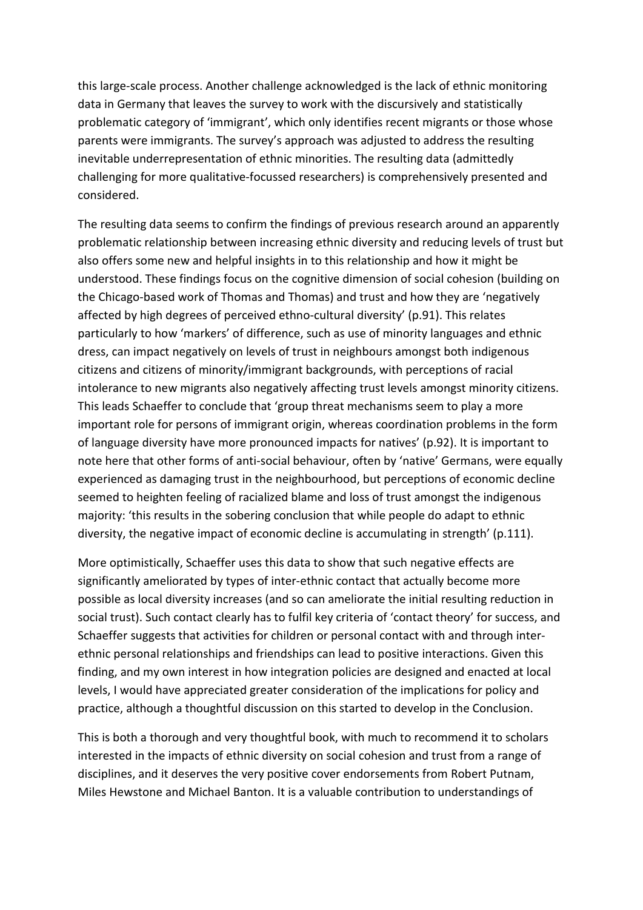this large-scale process. Another challenge acknowledged is the lack of ethnic monitoring data in Germany that leaves the survey to work with the discursively and statistically problematic category of 'immigrant', which only identifies recent migrants or those whose parents were immigrants. The survey's approach was adjusted to address the resulting inevitable underrepresentation of ethnic minorities. The resulting data (admittedly challenging for more qualitative-focussed researchers) is comprehensively presented and considered.

The resulting data seems to confirm the findings of previous research around an apparently problematic relationship between increasing ethnic diversity and reducing levels of trust but also offers some new and helpful insights in to this relationship and how it might be understood. These findings focus on the cognitive dimension of social cohesion (building on the Chicago-based work of Thomas and Thomas) and trust and how they are 'negatively affected by high degrees of perceived ethno-cultural diversity' (p.91). This relates particularly to how 'markers' of difference, such as use of minority languages and ethnic dress, can impact negatively on levels of trust in neighbours amongst both indigenous citizens and citizens of minority/immigrant backgrounds, with perceptions of racial intolerance to new migrants also negatively affecting trust levels amongst minority citizens. This leads Schaeffer to conclude that 'group threat mechanisms seem to play a more important role for persons of immigrant origin, whereas coordination problems in the form of language diversity have more pronounced impacts for natives' (p.92). It is important to note here that other forms of anti-social behaviour, often by 'native' Germans, were equally experienced as damaging trust in the neighbourhood, but perceptions of economic decline seemed to heighten feeling of racialized blame and loss of trust amongst the indigenous majority: 'this results in the sobering conclusion that while people do adapt to ethnic diversity, the negative impact of economic decline is accumulating in strength' (p.111).

More optimistically, Schaeffer uses this data to show that such negative effects are significantly ameliorated by types of inter-ethnic contact that actually become more possible as local diversity increases (and so can ameliorate the initial resulting reduction in social trust). Such contact clearly has to fulfil key criteria of 'contact theory' for success, and Schaeffer suggests that activities for children or personal contact with and through interethnic personal relationships and friendships can lead to positive interactions. Given this finding, and my own interest in how integration policies are designed and enacted at local levels, I would have appreciated greater consideration of the implications for policy and practice, although a thoughtful discussion on this started to develop in the Conclusion.

This is both a thorough and very thoughtful book, with much to recommend it to scholars interested in the impacts of ethnic diversity on social cohesion and trust from a range of disciplines, and it deserves the very positive cover endorsements from Robert Putnam, Miles Hewstone and Michael Banton. It is a valuable contribution to understandings of